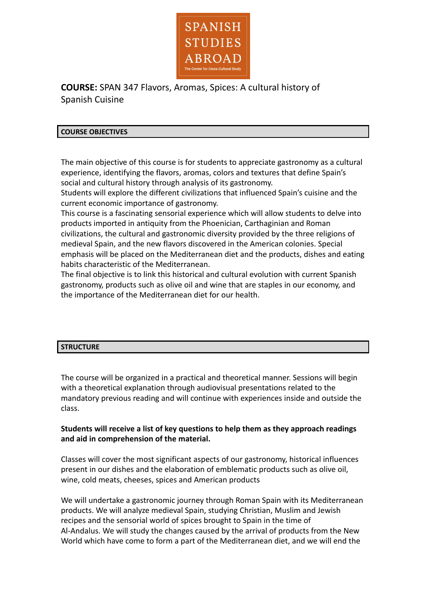

**COURSE:** SPAN 347 Flavors, Aromas, Spices: A cultural history of Spanish Cuisine

#### **COURSE OBJECTIVES**

The main objective of this course is for students to appreciate gastronomy as a cultural experience, identifying the flavors, aromas, colors and textures that define Spain's social and cultural history through analysis of its gastronomy.

Students will explore the different civilizations that influenced Spain's cuisine and the current economic importance of gastronomy.

This course is a fascinating sensorial experience which will allow students to delve into products imported in antiquity from the Phoenician, Carthaginian and Roman civilizations, the cultural and gastronomic diversity provided by the three religions of medieval Spain, and the new flavors discovered in the American colonies. Special emphasis will be placed on the Mediterranean diet and the products, dishes and eating habits characteristic of the Mediterranean.

The final objective is to link this historical and cultural evolution with current Spanish gastronomy, products such as olive oil and wine that are staples in our economy, and the importance of the Mediterranean diet for our health.

## **STRUCTURE**

The course will be organized in a practical and theoretical manner. Sessions will begin with a theoretical explanation through audiovisual presentations related to the mandatory previous reading and will continue with experiences inside and outside the class.

## **Students will receive a list of key questions to help them as they approach readings and aid in comprehension of the material.**

Classes will cover the most significant aspects of our gastronomy, historical influences present in our dishes and the elaboration of emblematic products such as olive oil, wine, cold meats, cheeses, spices and American products

We will undertake a gastronomic journey through Roman Spain with its Mediterranean products. We will analyze medieval Spain, studying Christian, Muslim and Jewish recipes and the sensorial world of spices brought to Spain in the time of Al-Andalus. We will study the changes caused by the arrival of products from the New World which have come to form a part of the Mediterranean diet, and we will end the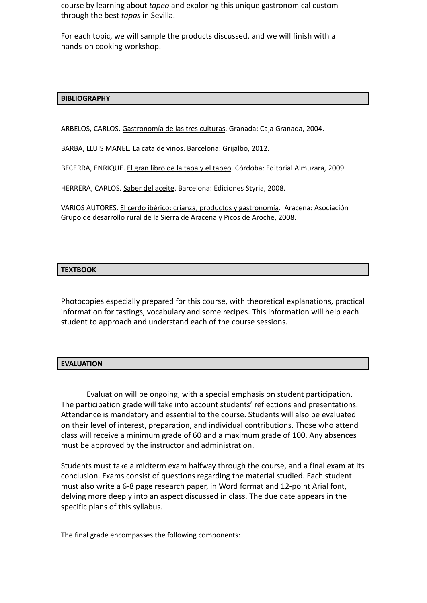course by learning about *tapeo* and exploring this unique gastronomical custom through the best *tapas* in Sevilla.

For each topic, we will sample the products discussed, and we will finish with a hands-on cooking workshop.

## **BIBLIOGRAPHY**

ARBELOS, CARLOS. Gastronomía de las tres culturas. Granada: Caja Granada, 2004.

BARBA, LLUIS MANEL. La cata de vinos. Barcelona: Grijalbo, 2012.

BECERRA, ENRIQUE. El gran libro de la tapa y el tapeo. Córdoba: Editorial Almuzara, 2009.

HERRERA, CARLOS. Saber del aceite. Barcelona: Ediciones Styria, 2008.

VARIOS AUTORES. El cerdo ibérico: crianza, productos y gastronomía. Aracena: Asociación Grupo de desarrollo rural de la Sierra de Aracena y Picos de Aroche, 2008.

#### **TEXTBOOK**

Photocopies especially prepared for this course, with theoretical explanations, practical information for tastings, vocabulary and some recipes. This information will help each student to approach and understand each of the course sessions.

#### **EVALUATION**

Evaluation will be ongoing, with a special emphasis on student participation. The participation grade will take into account students' reflections and presentations. Attendance is mandatory and essential to the course. Students will also be evaluated on their level of interest, preparation, and individual contributions. Those who attend class will receive a minimum grade of 60 and a maximum grade of 100. Any absences must be approved by the instructor and administration.

Students must take a midterm exam halfway through the course, and a final exam at its conclusion. Exams consist of questions regarding the material studied. Each student must also write a 6-8 page research paper, in Word format and 12-point Arial font, delving more deeply into an aspect discussed in class. The due date appears in the specific plans of this syllabus.

The final grade encompasses the following components: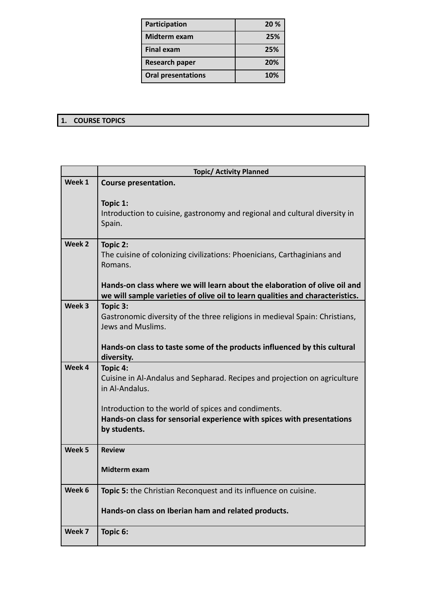| Participation             | 20 % |
|---------------------------|------|
| Midterm exam              | 25%  |
| <b>Final exam</b>         | 25%  |
| <b>Research paper</b>     | 20%  |
| <b>Oral presentations</b> | 10%  |

# **1. COURSE TOPICS**

|                   | <b>Topic/ Activity Planned</b>                                                                                                                             |
|-------------------|------------------------------------------------------------------------------------------------------------------------------------------------------------|
| Week 1            | Course presentation.                                                                                                                                       |
|                   | Topic 1:<br>Introduction to cuisine, gastronomy and regional and cultural diversity in<br>Spain.                                                           |
| Week 2            | Topic 2:<br>The cuisine of colonizing civilizations: Phoenicians, Carthaginians and<br>Romans.                                                             |
|                   | Hands-on class where we will learn about the elaboration of olive oil and<br>we will sample varieties of olive oil to learn qualities and characteristics. |
| Week 3            | Topic 3:<br>Gastronomic diversity of the three religions in medieval Spain: Christians,<br>Jews and Muslims.                                               |
|                   | Hands-on class to taste some of the products influenced by this cultural<br>diversity.                                                                     |
| Week 4            | Topic 4:<br>Cuisine in Al-Andalus and Sepharad. Recipes and projection on agriculture<br>in Al-Andalus.                                                    |
|                   | Introduction to the world of spices and condiments.<br>Hands-on class for sensorial experience with spices with presentations<br>by students.              |
| Week <sub>5</sub> | <b>Review</b>                                                                                                                                              |
|                   | Midterm exam                                                                                                                                               |
| Week 6            | Topic 5: the Christian Reconquest and its influence on cuisine.                                                                                            |
|                   | Hands-on class on Iberian ham and related products.                                                                                                        |
| Week 7            | Topic 6:                                                                                                                                                   |